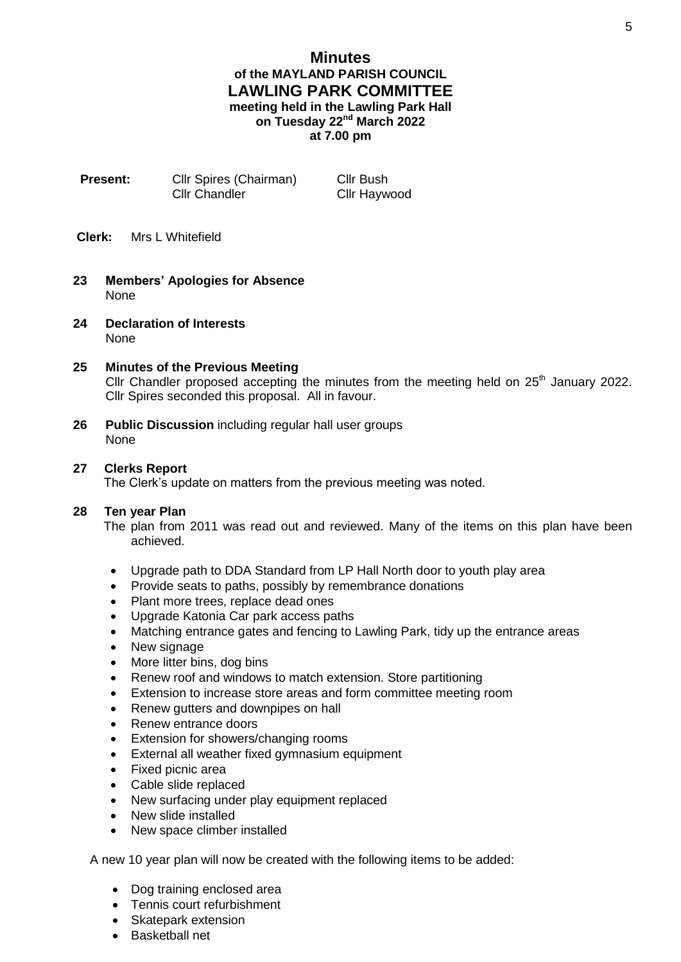# **Minutes of the MAYLAND PARISH COUNCIL LAWLING PARK COMMITTEE meeting held in the Lawling Park Hall on Tuesday 22nd March 2022 at 7.00 pm**

**Present:** Cllr Spires (Chairman) Cllr Bush Cllr Chandler Cllr Haywood

- **Clerk:** Mrs L Whitefield
- **23 Members' Apologies for Absence** None
- **24 Declaration of Interests** None

# **25 Minutes of the Previous Meeting**

Cllr Chandler proposed accepting the minutes from the meeting held on  $25<sup>th</sup>$  January 2022. Cllr Spires seconded this proposal. All in favour.

**26 Public Discussion** including regular hall user groups None

# **27 Clerks Report**

The Clerk's update on matters from the previous meeting was noted.

#### **28 Ten year Plan**

The plan from 2011 was read out and reviewed. Many of the items on this plan have been achieved.

- Upgrade path to DDA Standard from LP Hall North door to youth play area
- Provide seats to paths, possibly by remembrance donations
- Plant more trees, replace dead ones
- Upgrade Katonia Car park access paths
- Matching entrance gates and fencing to Lawling Park, tidy up the entrance areas
- New signage
- More litter bins, dog bins
- Renew roof and windows to match extension. Store partitioning
- Extension to increase store areas and form committee meeting room
- Renew gutters and downpipes on hall
- Renew entrance doors
- Extension for showers/changing rooms
- External all weather fixed gymnasium equipment
- Fixed picnic area
- Cable slide replaced
- New surfacing under play equipment replaced
- New slide installed
- New space climber installed

A new 10 year plan will now be created with the following items to be added:

- Dog training enclosed area
- Tennis court refurbishment
- Skatepark extension
- Basketball net